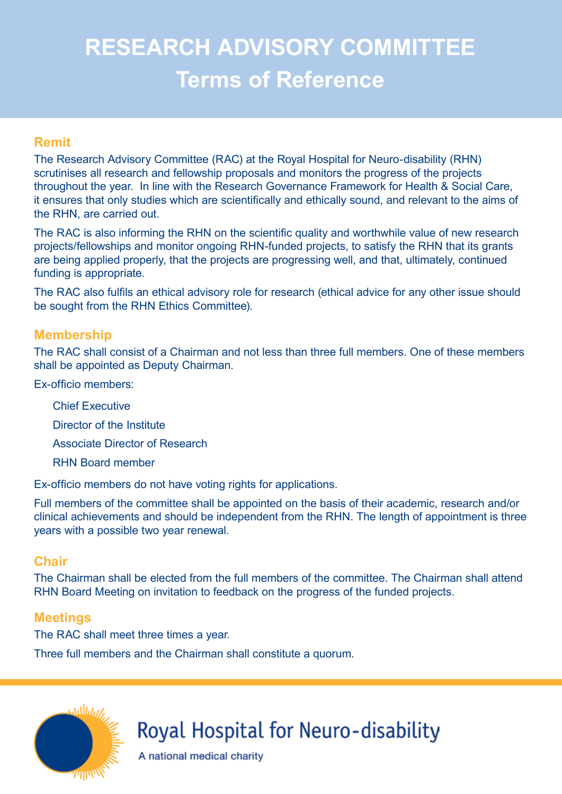# **RESEARCH ADVISORY COMMITTEE Terms of Reference**

#### **Remit**

The Research Advisory Committee (RAC) at the Royal Hospital for Neuro-disability (RHN) scrutinises all research and fellowship proposals and monitors the progress of the projects throughout the year. In line with the Research Governance Framework for Health & Social Care, it ensures that only studies which are scientifically and ethically sound, and relevant to the aims of the RHN, are carried out.

The RAC is also informing the RHN on the scientific quality and worthwhile value of new research projects/fellowships and monitor ongoing RHN-funded projects, to satisfy the RHN that its grants are being applied properly, that the projects are progressing well, and that, ultimately, continued funding is appropriate.

The RAC also fulfils an ethical advisory role for research (ethical advice for any other issue should be sought from the RHN Ethics Committee).

#### **Membership**

The RAC shall consist of a Chairman and not less than three full members. One of these members shall be appointed as Deputy Chairman.

Ex-officio members:

- Chief Executive
- Director of the Institute
- Associate Director of Research
- RHN Board member

Ex-officio members do not have voting rights for applications.

Full members of the committee shall be appointed on the basis of their academic, research and/or clinical achievements and should be independent from the RHN. The length of appointment is three years with a possible two year renewal.

#### **Chair**

The Chairman shall be elected from the full members of the committee. The Chairman shall attend RHN Board Meeting on invitation to feedback on the progress of the funded projects.

# **Meetings**

The RAC shall meet three times a year.

Three full members and the Chairman shall constitute a quorum.



# Royal Hospital for Neuro-disability

A national medical charity